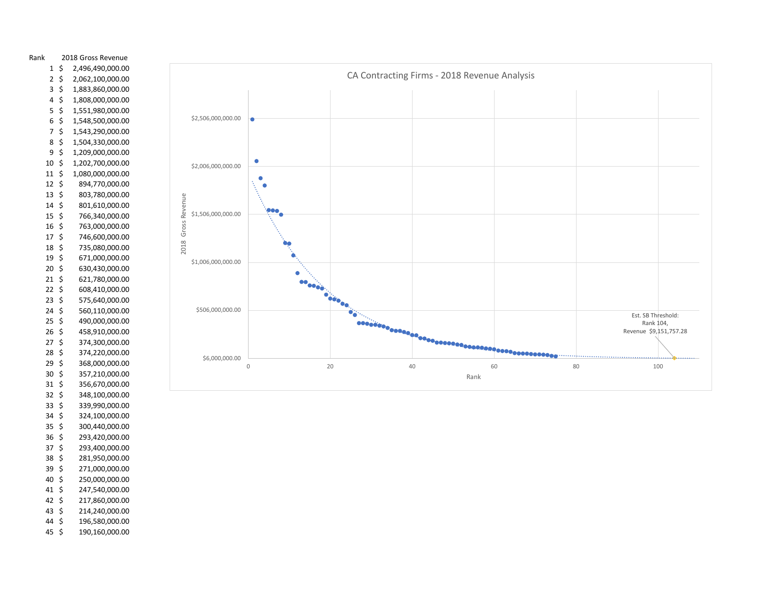

43\$ 44 \$ \$ 214,240,000.00 196,580,000.00

\$ 250,000,000.00 \$ 247,540,000.00 \$ 217,860,000.00

40 \$  $41 \; \text{S}$ 42 \$

45 \$ \$ 190,160,000.00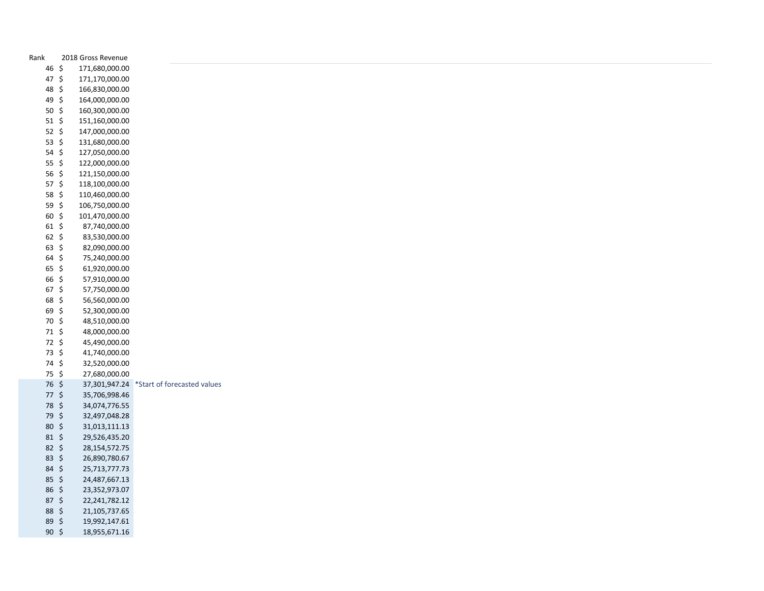| Rank                   | 2018 Gross Revenue                |                                           |
|------------------------|-----------------------------------|-------------------------------------------|
| 46 \$                  | 171,680,000.00                    |                                           |
| 47 \$                  | 171,170,000.00                    |                                           |
| 48 \$                  | 166,830,000.00                    |                                           |
| 49 \$                  | 164,000,000.00                    |                                           |
| $50 \; \xi$            | 160,300,000.00                    |                                           |
| $51 \; \xi$            | 151,160,000.00                    |                                           |
| 52 $$$                 | 147,000,000.00                    |                                           |
| 53 $$$                 | 131,680,000.00                    |                                           |
| $54 \; \xi$            | 127,050,000.00                    |                                           |
| 55 \$                  | 122,000,000.00                    |                                           |
| 56 \$                  | 121,150,000.00                    |                                           |
| $57$ \$                | 118,100,000.00                    |                                           |
| 58 $$$                 | 110,460,000.00                    |                                           |
| 59 \$                  | 106,750,000.00                    |                                           |
| 60 \$                  | 101,470,000.00                    |                                           |
| $61 \; \xi$            | 87,740,000.00                     |                                           |
| $62 \;$ \$             | 83,530,000.00                     |                                           |
| $63 \; \zeta$          | 82,090,000.00                     |                                           |
| $64 \; \zeta$          | 75,240,000.00                     |                                           |
| $65 \;$ \$             | 61,920,000.00                     |                                           |
| 66 \$                  | 57,910,000.00                     |                                           |
| $67$ \$                | 57,750,000.00                     |                                           |
| 68 \$                  | 56,560,000.00                     |                                           |
| 69 \$                  | 52,300,000.00                     |                                           |
| 70 \$                  | 48,510,000.00                     |                                           |
| $71 \; \text{S}$       | 48,000,000.00                     |                                           |
| 72 \$                  | 45,490,000.00                     |                                           |
| 73 \$                  | 41,740,000.00                     |                                           |
| 74 \$                  | 32,520,000.00                     |                                           |
| 75\$                   | 27,680,000.00                     |                                           |
| 76 \$                  |                                   | 37,301,947.24 *Start of forecasted values |
| $77 \;$ \$             | 35,706,998.46                     |                                           |
| 78 \$                  | 34,074,776.55                     |                                           |
| 79 \$                  | 32,497,048.28                     |                                           |
| $80 \; \zeta$          | 31,013,111.13                     |                                           |
| $81 \; \xi$            | 29,526,435.20                     |                                           |
| $82 \; \xi$            | 28, 154, 572. 75                  |                                           |
| 83 \$                  | 26,890,780.67                     |                                           |
| $84 \; \zeta$          | 25,713,777.73                     |                                           |
| 85 \$<br>$86 \; \zeta$ | 24,487,667.13<br>23,352,973.07    |                                           |
| $87 \;$ \$             |                                   |                                           |
| 88 \$                  | 22, 241, 782. 12<br>21,105,737.65 |                                           |
| 89\$                   | 19,992,147.61                     |                                           |
|                        |                                   |                                           |
| $90 \; \xi$            | 18,955,671.16                     |                                           |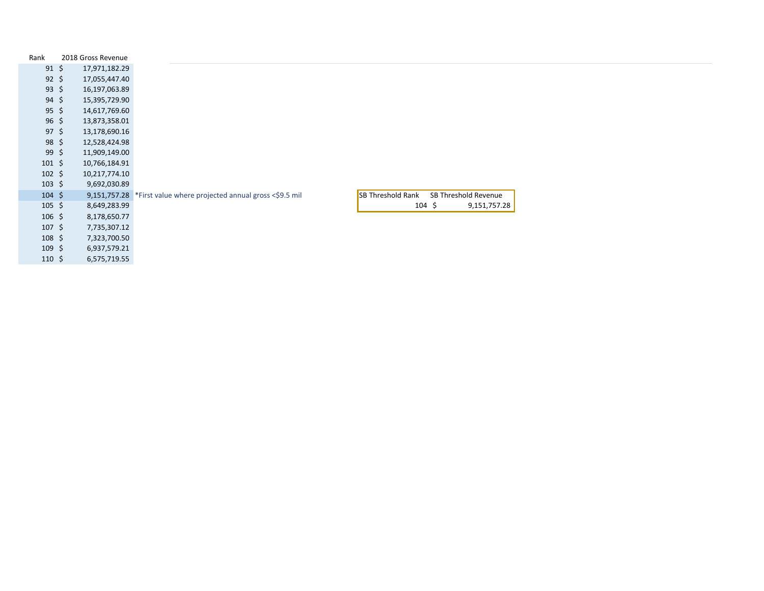| Rank              | 2018 Gross Revenue |                                                                                        |                             |
|-------------------|--------------------|----------------------------------------------------------------------------------------|-----------------------------|
| $91 \; \xi$       | 17,971,182.29      |                                                                                        |                             |
| $92 \; \xi$       | 17,055,447.40      |                                                                                        |                             |
| $93 \; \zeta$     | 16,197,063.89      |                                                                                        |                             |
| $94 \;$ \$        | 15,395,729.90      |                                                                                        |                             |
| $95 \;$ \$        | 14,617,769.60      |                                                                                        |                             |
| $96 \;$ \$        | 13,873,358.01      |                                                                                        |                             |
| $97 \;$ \$        | 13,178,690.16      |                                                                                        |                             |
| $98 \;$ \$        | 12,528,424.98      |                                                                                        |                             |
| $99 \div$         | 11,909,149.00      |                                                                                        |                             |
| $101 \; \text{S}$ | 10,766,184.91      |                                                                                        |                             |
| $102 \div$        | 10,217,774.10      |                                                                                        |                             |
| $103 \; \text{S}$ | 9,692,030.89       |                                                                                        |                             |
| $104 \; \text{S}$ |                    | SB Threshold Rank<br>9,151,757.28 *First value where projected annual gross <\$9.5 mil | SB Threshold Revenue        |
| $105 \; \xi$      | 8,649,283.99       |                                                                                        | $104 \; \S$<br>9,151,757.28 |
| $106$ \$          | 8,178,650.77       |                                                                                        |                             |
| $107 \; \text{S}$ | 7,735,307.12       |                                                                                        |                             |
| $108$ \$          | 7,323,700.50       |                                                                                        |                             |
| $109 \;$ \$       | 6,937,579.21       |                                                                                        |                             |
| $110 \; \text{S}$ | 6,575,719.55       |                                                                                        |                             |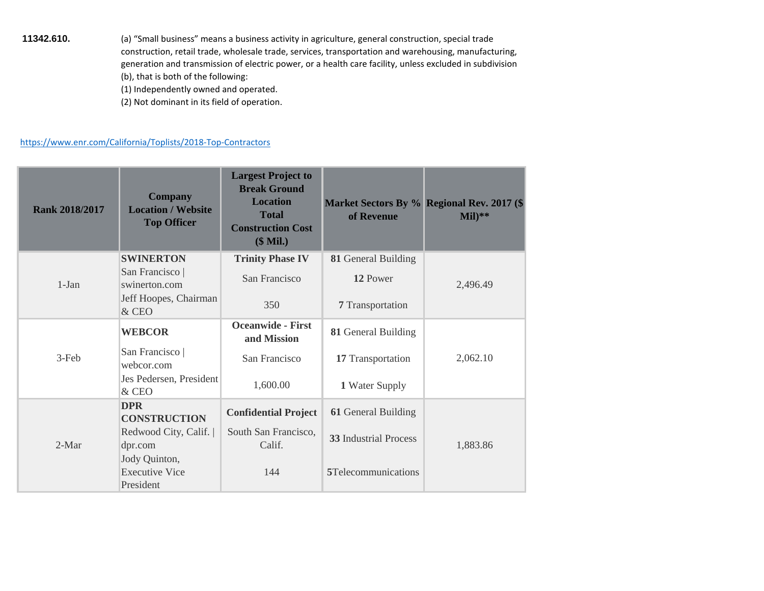- **11342.610.** (a) "Small business" means a business activity in agriculture, general construction, special trade construction, retail trade, wholesale trade, services, transportation and warehousing, manufacturing, generation and transmission of electric power, or a health care facility, unless excluded in subdivision (b), that is both of the following:
	- (1) Independently owned and operated.
	- (2) Not dominant in its field of operation.

## <https://www.enr.com/California/Toplists/2018-Top-Contractors>

| <b>Rank 2018/2017</b> | <b>Company</b><br><b>Location / Website</b><br><b>Top Officer</b> | <b>Largest Project to</b><br><b>Break Ground</b><br><b>Location</b><br><b>Total</b><br><b>Construction Cost</b><br>$$$ Mil.) | of Revenue                   | Market Sectors By % Regional Rev. 2017 (\$<br>$Mil)**$ |
|-----------------------|-------------------------------------------------------------------|------------------------------------------------------------------------------------------------------------------------------|------------------------------|--------------------------------------------------------|
|                       | <b>SWINERTON</b>                                                  | <b>Trinity Phase IV</b>                                                                                                      | 81 General Building          |                                                        |
| $1-Jan$               | San Francisco  <br>swinerton.com                                  | San Francisco                                                                                                                | 12 Power                     | 2,496.49                                               |
|                       | Jeff Hoopes, Chairman<br>& CEO                                    | 350                                                                                                                          | 7 Transportation             |                                                        |
|                       | <b>WEBCOR</b>                                                     | <b>Oceanwide - First</b><br>and Mission                                                                                      | 81 General Building          |                                                        |
| $3-Feb$               | San Francisco  <br>webcor.com                                     | San Francisco                                                                                                                | 17 Transportation            | 2,062.10                                               |
|                       | Jes Pedersen, President<br>& CEO                                  | 1,600.00                                                                                                                     | 1 Water Supply               |                                                        |
|                       | <b>DPR</b><br><b>CONSTRUCTION</b>                                 | <b>Confidential Project</b>                                                                                                  | 61 General Building          |                                                        |
| $2-Mar$               | Redwood City, Calif.<br>dpr.com                                   | South San Francisco.<br>Calif.                                                                                               | <b>33 Industrial Process</b> | 1,883.86                                               |
|                       | Jody Quinton,<br><b>Executive Vice</b><br>President               | 144                                                                                                                          | 5Telecommunications          |                                                        |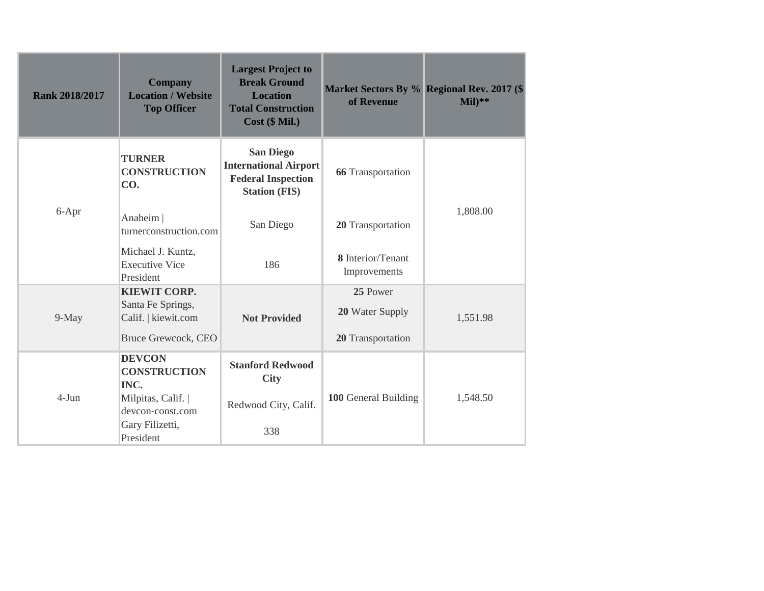| <b>Company</b><br><b>Location / Website</b><br><b>Top Officer</b>                      | <b>Largest Project to</b><br><b>Break Ground</b><br><b>Location</b><br><b>Total Construction</b><br>$Cost$ ( $$ Mil.$ ) | Market Sectors By % Regional Rev. 2017 (\$<br>of Revenue | $Mil)**$ |
|----------------------------------------------------------------------------------------|-------------------------------------------------------------------------------------------------------------------------|----------------------------------------------------------|----------|
| <b>TURNER</b><br><b>CONSTRUCTION</b><br>CO.                                            | <b>San Diego</b><br><b>International Airport</b><br><b>Federal Inspection</b><br><b>Station (FIS)</b>                   | <b>66</b> Transportation                                 |          |
| Anaheim<br>turnerconstruction.com                                                      | San Diego                                                                                                               | 20 Transportation                                        | 1,808.00 |
| Michael J. Kuntz,<br><b>Executive Vice</b><br>President                                | 186                                                                                                                     | 8 Interior/Tenant<br>Improvements                        |          |
| <b>KIEWIT CORP.</b><br>Santa Fe Springs,<br>Calif.   kiewit.com<br>Bruce Grewcock, CEO | <b>Not Provided</b>                                                                                                     | 25 Power<br>20 Water Supply<br>20 Transportation         | 1,551.98 |
| <b>DEVCON</b><br><b>CONSTRUCTION</b><br>INC.                                           | <b>Stanford Redwood</b><br><b>City</b>                                                                                  |                                                          |          |
| Milpitas, Calif.  <br>devcon-const.com<br>Gary Filizetti,                              | Redwood City, Calif.                                                                                                    | 100 General Building                                     | 1,548.50 |
|                                                                                        | President                                                                                                               | 338                                                      |          |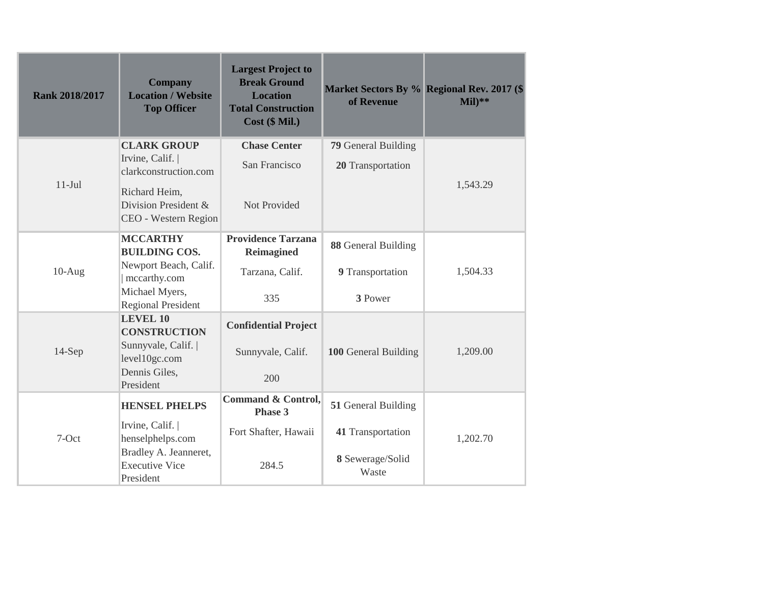| <b>Rank 2018/2017</b> | <b>Company</b><br><b>Location / Website</b><br><b>Top Officer</b> | <b>Largest Project to</b><br><b>Break Ground</b><br><b>Location</b><br><b>Total Construction</b><br>Cost (\$ Mil.) | of Revenue                 | Market Sectors By % Regional Rev. 2017 (\$<br>$Mil)**$ |
|-----------------------|-------------------------------------------------------------------|--------------------------------------------------------------------------------------------------------------------|----------------------------|--------------------------------------------------------|
|                       | <b>CLARK GROUP</b>                                                | <b>Chase Center</b>                                                                                                | <b>79 General Building</b> |                                                        |
|                       | Irvine, Calif.  <br>clarkconstruction.com                         | San Francisco                                                                                                      | 20 Transportation          |                                                        |
| $11-Jul$              | Richard Heim,<br>Division President &<br>CEO - Western Region     | Not Provided                                                                                                       |                            | 1,543.29                                               |
|                       | <b>MCCARTHY</b><br><b>BUILDING COS.</b>                           | <b>Providence Tarzana</b><br><b>Reimagined</b>                                                                     | 88 General Building        |                                                        |
| $10-Aug$              | Newport Beach, Calif.<br>mccarthy.com                             | Tarzana, Calif.                                                                                                    | 9 Transportation           | 1,504.33                                               |
|                       | Michael Myers,<br><b>Regional President</b>                       | 335                                                                                                                | 3 Power                    |                                                        |
|                       | <b>LEVEL 10</b><br><b>CONSTRUCTION</b>                            | <b>Confidential Project</b>                                                                                        |                            |                                                        |
| $14-Sep$              | Sunnyvale, Calif.<br>level10gc.com                                | Sunnyvale, Calif.                                                                                                  | 100 General Building       | 1,209.00                                               |
|                       | Dennis Giles,<br>President                                        | 200                                                                                                                |                            |                                                        |
|                       | <b>HENSEL PHELPS</b>                                              | <b>Command &amp; Control,</b><br>Phase 3                                                                           | 51 General Building        |                                                        |
| 7-Oct                 | Irvine, Calif.  <br>henselphelps.com                              | Fort Shafter, Hawaii                                                                                               | 41 Transportation          | 1,202.70                                               |
|                       | Bradley A. Jeanneret,<br><b>Executive Vice</b><br>President       | 284.5                                                                                                              | 8 Sewerage/Solid<br>Waste  |                                                        |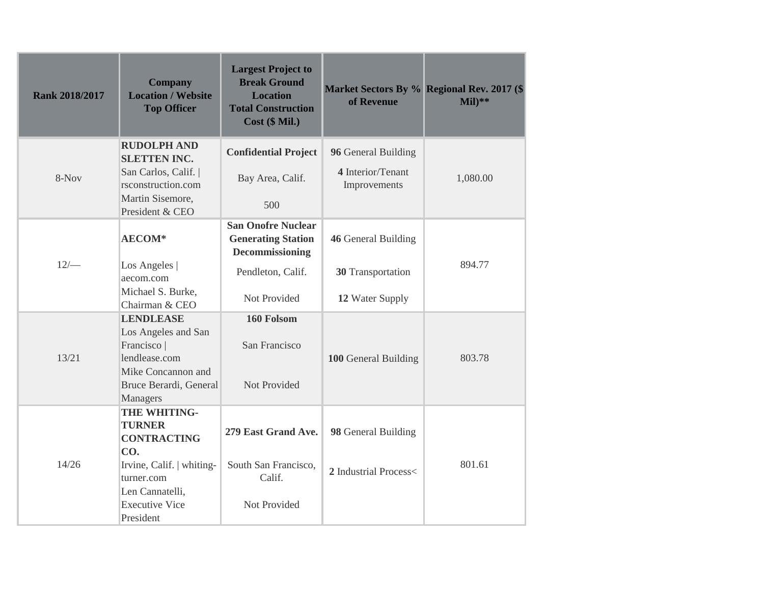| <b>Rank 2018/2017</b> | <b>Company</b><br><b>Location / Website</b><br><b>Top Officer</b>                                                       | <b>Largest Project to</b><br><b>Break Ground</b><br><b>Location</b><br><b>Total Construction</b><br>Cost (\$ Mil.) | of Revenue                                               | Market Sectors By % Regional Rev. 2017 (\$<br>$Mil)**$ |
|-----------------------|-------------------------------------------------------------------------------------------------------------------------|--------------------------------------------------------------------------------------------------------------------|----------------------------------------------------------|--------------------------------------------------------|
| 8-Nov                 | <b>RUDOLPH AND</b><br><b>SLETTEN INC.</b><br>San Carlos, Calif.  <br>rsconstruction.com<br>Martin Sisemore,             | <b>Confidential Project</b><br>Bay Area, Calif.                                                                    | 96 General Building<br>4 Interior/Tenant<br>Improvements | 1,080.00                                               |
|                       | President & CEO                                                                                                         | 500                                                                                                                |                                                          |                                                        |
|                       | <b>AECOM*</b>                                                                                                           | <b>San Onofre Nuclear</b><br><b>Generating Station</b><br><b>Decommissioning</b>                                   | 46 General Building                                      |                                                        |
| $12/-$                | Los Angeles  <br>aecom.com                                                                                              | Pendleton, Calif.                                                                                                  | 30 Transportation                                        | 894.77                                                 |
|                       | Michael S. Burke,<br>Chairman & CEO                                                                                     | Not Provided                                                                                                       | 12 Water Supply                                          |                                                        |
| 13/21                 | <b>LENDLEASE</b><br>Los Angeles and San<br>Francisco  <br>lendlease.com<br>Mike Concannon and<br>Bruce Berardi, General | 160 Folsom<br>San Francisco<br>Not Provided                                                                        | 100 General Building                                     | 803.78                                                 |
|                       | Managers<br>THE WHITING-<br><b>TURNER</b><br><b>CONTRACTING</b><br>CO.                                                  | 279 East Grand Ave.                                                                                                | 98 General Building                                      |                                                        |
| 14/26                 | Irvine, Calif.   whiting-<br>turner.com<br>Len Cannatelli,<br><b>Executive Vice</b>                                     | South San Francisco,<br>Calif.<br>Not Provided                                                                     | 2 Industrial Process<                                    | 801.61                                                 |
|                       | President                                                                                                               |                                                                                                                    |                                                          |                                                        |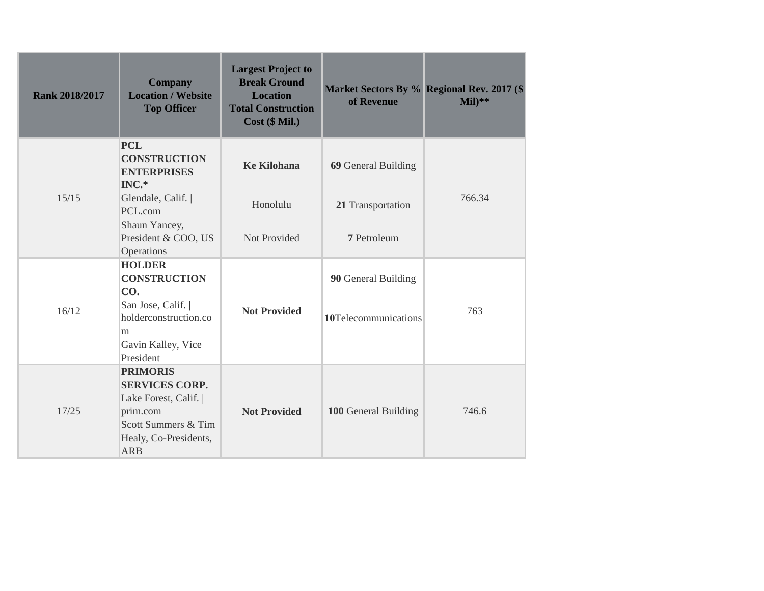| <b>Rank 2018/2017</b> | <b>Company</b><br><b>Location / Website</b><br><b>Top Officer</b>                                                                           | <b>Largest Project to</b><br><b>Break Ground</b><br><b>Location</b><br><b>Total Construction</b><br>Cost (\$ Mil.) | of Revenue           | Market Sectors By % Regional Rev. 2017 (\$<br>$Mil)**$ |
|-----------------------|---------------------------------------------------------------------------------------------------------------------------------------------|--------------------------------------------------------------------------------------------------------------------|----------------------|--------------------------------------------------------|
|                       | <b>PCL</b><br><b>CONSTRUCTION</b><br><b>ENTERPRISES</b><br>$INC.*$                                                                          | <b>Ke Kilohana</b>                                                                                                 | 69 General Building  |                                                        |
| 15/15                 | Glendale, Calif.  <br>PCL.com                                                                                                               | Honolulu                                                                                                           | 21 Transportation    | 766.34                                                 |
|                       | Shaun Yancey,<br>President & COO, US<br>Operations                                                                                          | Not Provided                                                                                                       | 7 Petroleum          |                                                        |
|                       | <b>HOLDER</b><br><b>CONSTRUCTION</b><br>CO.                                                                                                 |                                                                                                                    | 90 General Building  |                                                        |
| 16/12                 | San Jose, Calif.<br>holderconstruction.co<br>m                                                                                              | <b>Not Provided</b>                                                                                                | 10Telecommunications | 763                                                    |
|                       | Gavin Kalley, Vice<br>President                                                                                                             |                                                                                                                    |                      |                                                        |
| 17/25                 | <b>PRIMORIS</b><br><b>SERVICES CORP.</b><br>Lake Forest, Calif.  <br>prim.com<br>Scott Summers & Tim<br>Healy, Co-Presidents,<br><b>ARB</b> | <b>Not Provided</b>                                                                                                | 100 General Building | 746.6                                                  |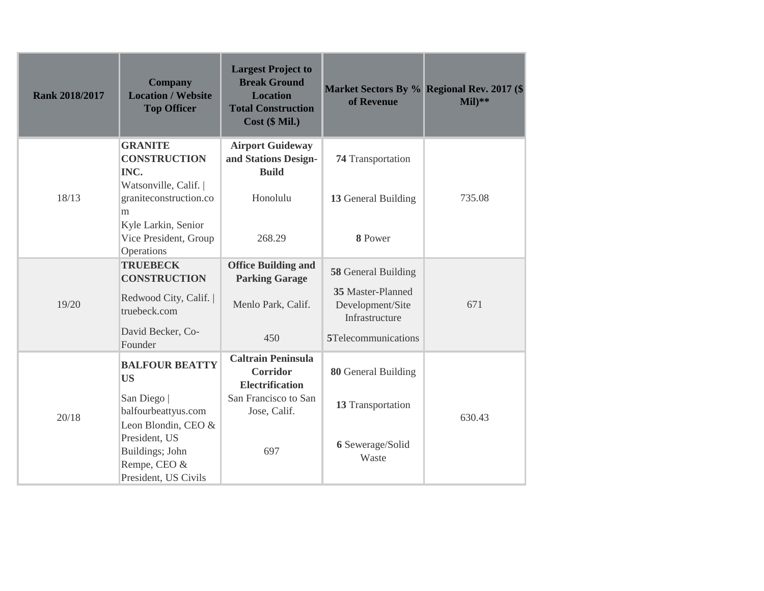| <b>Rank 2018/2017</b> | <b>Company</b><br><b>Location / Website</b><br><b>Top Officer</b>                               | <b>Largest Project to</b><br><b>Break Ground</b><br><b>Location</b><br><b>Total Construction</b><br>Cost (\$ Mil.) | of Revenue                                              | Market Sectors By % Regional Rev. 2017 (\$<br>$Mil)**$ |
|-----------------------|-------------------------------------------------------------------------------------------------|--------------------------------------------------------------------------------------------------------------------|---------------------------------------------------------|--------------------------------------------------------|
|                       | <b>GRANITE</b><br><b>CONSTRUCTION</b><br>INC.                                                   | <b>Airport Guideway</b><br>and Stations Design-<br><b>Build</b>                                                    | <b>74 Transportation</b>                                |                                                        |
| 18/13                 | Watsonville, Calif.  <br>graniteconstruction.co<br>m                                            | Honolulu                                                                                                           | 13 General Building                                     | 735.08                                                 |
|                       | Kyle Larkin, Senior<br>Vice President, Group<br>Operations                                      | 268.29                                                                                                             | 8 Power                                                 |                                                        |
|                       | <b>TRUEBECK</b><br><b>CONSTRUCTION</b>                                                          | <b>Office Building and</b><br><b>Parking Garage</b>                                                                | 58 General Building                                     |                                                        |
| 19/20                 | Redwood City, Calif.<br>truebeck.com                                                            | Menlo Park, Calif.                                                                                                 | 35 Master-Planned<br>Development/Site<br>Infrastructure | 671                                                    |
|                       | David Becker, Co-<br>Founder                                                                    | 450                                                                                                                | 5Telecommunications                                     |                                                        |
|                       | <b>BALFOUR BEATTY</b><br><b>US</b>                                                              | <b>Caltrain Peninsula</b><br><b>Corridor</b><br><b>Electrification</b>                                             | 80 General Building                                     |                                                        |
| 20/18                 | San Diego<br>balfourbeattyus.com                                                                | San Francisco to San<br>Jose, Calif.                                                                               | 13 Transportation                                       | 630.43                                                 |
|                       | Leon Blondin, CEO &<br>President, US<br>Buildings; John<br>Rempe, CEO &<br>President, US Civils | 697                                                                                                                | 6 Sewerage/Solid<br>Waste                               |                                                        |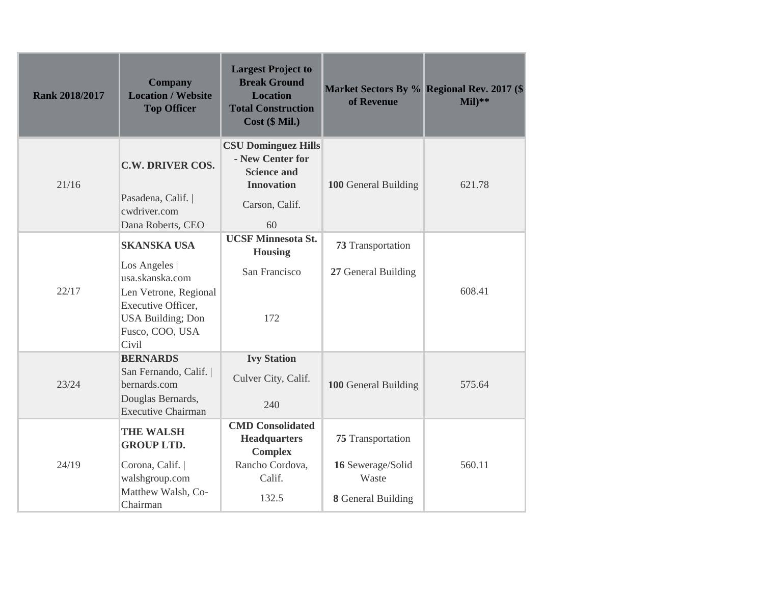| <b>Rank 2018/2017</b> | <b>Company</b><br><b>Location / Website</b><br><b>Top Officer</b>                                                                                              | <b>Largest Project to</b><br><b>Break Ground</b><br><b>Location</b><br><b>Total Construction</b><br>$Cost$ ( $$ Mil.$ ) | of Revenue                                                                          | Market Sectors By % Regional Rev. 2017 (\$<br>$Mil)**$ |
|-----------------------|----------------------------------------------------------------------------------------------------------------------------------------------------------------|-------------------------------------------------------------------------------------------------------------------------|-------------------------------------------------------------------------------------|--------------------------------------------------------|
| 21/16                 | <b>C.W. DRIVER COS.</b><br>Pasadena, Calif.<br>cwdriver.com<br>Dana Roberts, CEO                                                                               | <b>CSU Dominguez Hills</b><br>- New Center for<br><b>Science and</b><br><b>Innovation</b><br>Carson, Calif.<br>60       | 100 General Building                                                                | 621.78                                                 |
| 22/17                 | <b>SKANSKA USA</b><br>Los Angeles  <br>usa.skanska.com<br>Len Vetrone, Regional<br>Executive Officer,<br><b>USA Building</b> ; Don<br>Fusco, COO, USA<br>Civil | <b>UCSF Minnesota St.</b><br><b>Housing</b><br>San Francisco<br>172                                                     | 73 Transportation<br>27 General Building                                            | 608.41                                                 |
| 23/24                 | <b>BERNARDS</b><br>San Fernando, Calif.<br>bernards.com<br>Douglas Bernards,<br><b>Executive Chairman</b>                                                      | <b>Ivy Station</b><br>Culver City, Calif.<br>240                                                                        | 100 General Building                                                                | 575.64                                                 |
| 24/19                 | <b>THE WALSH</b><br><b>GROUP LTD.</b><br>Corona, Calif.<br>walshgroup.com<br>Matthew Walsh, Co-<br>Chairman                                                    | <b>CMD</b> Consolidated<br><b>Headquarters</b><br><b>Complex</b><br>Rancho Cordova,<br>Calif.<br>132.5                  | <b>75</b> Transportation<br>16 Sewerage/Solid<br>Waste<br><b>8</b> General Building | 560.11                                                 |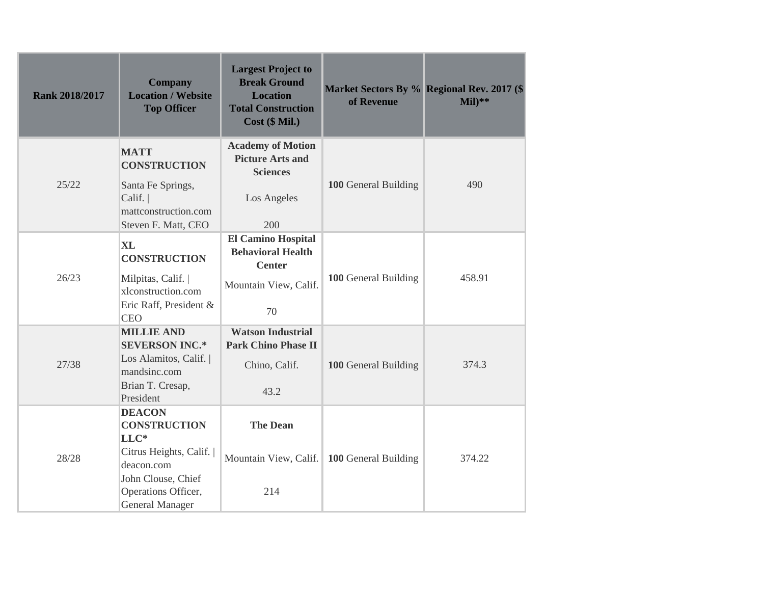| <b>Rank 2018/2017</b> | <b>Company</b><br><b>Location / Website</b><br><b>Top Officer</b>                                                                                             | <b>Largest Project to</b><br><b>Break Ground</b><br><b>Location</b><br><b>Total Construction</b><br>Cost (\$ Mil.) | Market Sectors By % Regional Rev. 2017 (\$<br>of Revenue | $Mil)**$ |
|-----------------------|---------------------------------------------------------------------------------------------------------------------------------------------------------------|--------------------------------------------------------------------------------------------------------------------|----------------------------------------------------------|----------|
| 25/22                 | <b>MATT</b><br><b>CONSTRUCTION</b><br>Santa Fe Springs,<br>Calif.<br>mattconstruction.com<br>Steven F. Matt, CEO                                              | <b>Academy of Motion</b><br><b>Picture Arts and</b><br><b>Sciences</b><br>Los Angeles<br>200                       | 100 General Building                                     | 490      |
| 26/23                 | <b>XL</b><br><b>CONSTRUCTION</b><br>Milpitas, Calif.<br>xlconstruction.com<br>Eric Raff, President &<br><b>CEO</b>                                            | El Camino Hospital<br><b>Behavioral Health</b><br><b>Center</b><br>Mountain View, Calif.<br>70                     | 100 General Building                                     | 458.91   |
| 27/38                 | <b>MILLIE AND</b><br><b>SEVERSON INC.*</b><br>Los Alamitos, Calif.<br>mandsinc.com<br>Brian T. Cresap,<br>President                                           | <b>Watson Industrial</b><br><b>Park Chino Phase II</b><br>Chino, Calif.<br>43.2                                    | 100 General Building                                     | 374.3    |
| 28/28                 | <b>DEACON</b><br><b>CONSTRUCTION</b><br>$LLC*$<br>Citrus Heights, Calif.<br>deacon.com<br>John Clouse, Chief<br>Operations Officer,<br><b>General Manager</b> | <b>The Dean</b><br>Mountain View, Calif.   100 General Building<br>214                                             |                                                          | 374.22   |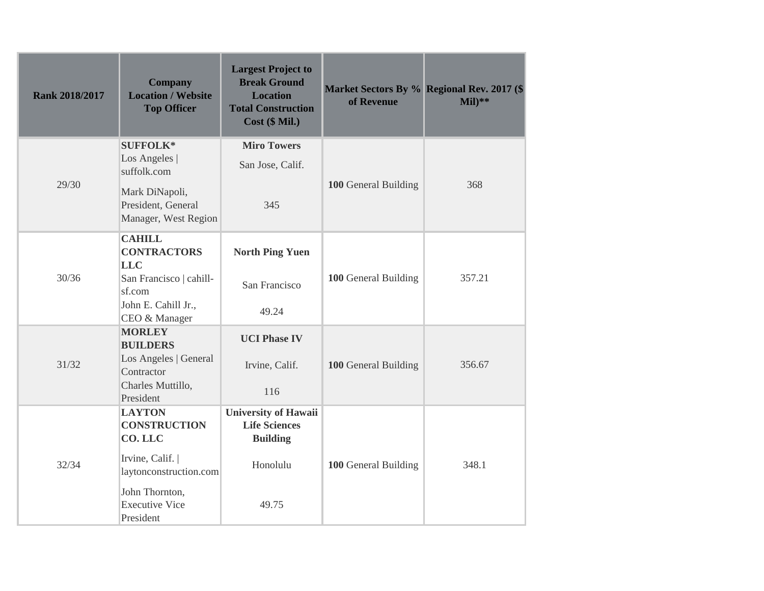| <b>Rank 2018/2017</b> | <b>Company</b><br><b>Location / Website</b><br><b>Top Officer</b> | <b>Largest Project to</b><br><b>Break Ground</b><br><b>Location</b><br><b>Total Construction</b><br>$Cost$ ( $$ Mil.$ ) | of Revenue           | Market Sectors By % Regional Rev. 2017 (\$<br>$Mil)**$ |
|-----------------------|-------------------------------------------------------------------|-------------------------------------------------------------------------------------------------------------------------|----------------------|--------------------------------------------------------|
|                       | <b>SUFFOLK*</b>                                                   | <b>Miro Towers</b>                                                                                                      |                      |                                                        |
|                       | Los Angeles  <br>suffolk.com                                      | San Jose, Calif.                                                                                                        |                      |                                                        |
| 29/30                 | Mark DiNapoli,<br>President, General<br>Manager, West Region      | 345                                                                                                                     | 100 General Building | 368                                                    |
|                       | <b>CAHILL</b><br><b>CONTRACTORS</b><br><b>LLC</b>                 | <b>North Ping Yuen</b>                                                                                                  |                      |                                                        |
| 30/36                 | San Francisco   cahill-<br>sf.com                                 | San Francisco                                                                                                           | 100 General Building | 357.21                                                 |
|                       | John E. Cahill Jr.,<br>CEO & Manager                              | 49.24                                                                                                                   |                      |                                                        |
|                       | <b>MORLEY</b><br><b>BUILDERS</b>                                  | <b>UCI Phase IV</b>                                                                                                     |                      |                                                        |
| 31/32                 | Los Angeles   General<br>Contractor                               | Irvine, Calif.                                                                                                          | 100 General Building | 356.67                                                 |
|                       | Charles Muttillo,<br>President                                    | 116                                                                                                                     |                      |                                                        |
|                       | <b>LAYTON</b><br><b>CONSTRUCTION</b><br>CO.LLC                    | <b>University of Hawaii</b><br><b>Life Sciences</b><br><b>Building</b>                                                  |                      |                                                        |
| 32/34                 | Irvine, Calif.<br>laytonconstruction.com                          | Honolulu                                                                                                                | 100 General Building | 348.1                                                  |
|                       | John Thornton,<br><b>Executive Vice</b><br>President              | 49.75                                                                                                                   |                      |                                                        |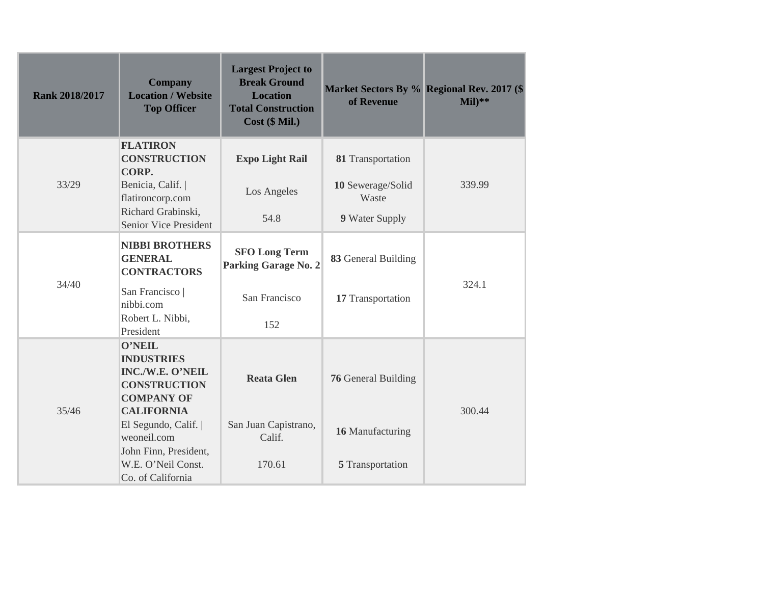| <b>Rank 2018/2017</b> | <b>Company</b><br><b>Location / Website</b><br><b>Top Officer</b>                                                       | <b>Largest Project to</b><br><b>Break Ground</b><br><b>Location</b><br><b>Total Construction</b><br>Cost (\$ Mil.) | of Revenue                 | Market Sectors By % Regional Rev. 2017 (\$<br>$Mil)**$ |
|-----------------------|-------------------------------------------------------------------------------------------------------------------------|--------------------------------------------------------------------------------------------------------------------|----------------------------|--------------------------------------------------------|
|                       | <b>FLATIRON</b><br><b>CONSTRUCTION</b><br>CORP.                                                                         | <b>Expo Light Rail</b>                                                                                             | 81 Transportation          |                                                        |
| 33/29                 | Benicia, Calif.  <br>flatironcorp.com                                                                                   | Los Angeles                                                                                                        | 10 Sewerage/Solid<br>Waste | 339.99                                                 |
|                       | Richard Grabinski,<br><b>Senior Vice President</b>                                                                      | 54.8                                                                                                               | 9 Water Supply             |                                                        |
|                       | <b>NIBBI BROTHERS</b><br><b>GENERAL</b><br><b>CONTRACTORS</b>                                                           | <b>SFO Long Term</b><br><b>Parking Garage No. 2</b>                                                                | 83 General Building        |                                                        |
| 34/40                 | San Francisco  <br>nibbi.com<br>Robert L. Nibbi,                                                                        | San Francisco                                                                                                      | 17 Transportation          | 324.1                                                  |
|                       | President                                                                                                               | 152                                                                                                                |                            |                                                        |
| 35/46                 | <b>O'NEIL</b><br><b>INDUSTRIES</b><br>INC./W.E. O'NEIL<br><b>CONSTRUCTION</b><br><b>COMPANY OF</b><br><b>CALIFORNIA</b> | <b>Reata Glen</b>                                                                                                  | <b>76</b> General Building | 300.44                                                 |
|                       | El Segundo, Calif.  <br>weoneil.com<br>John Finn, President,                                                            | San Juan Capistrano,<br>Calif.                                                                                     | 16 Manufacturing           |                                                        |
|                       | W.E. O'Neil Const.<br>Co. of California                                                                                 | 170.61                                                                                                             | 5 Transportation           |                                                        |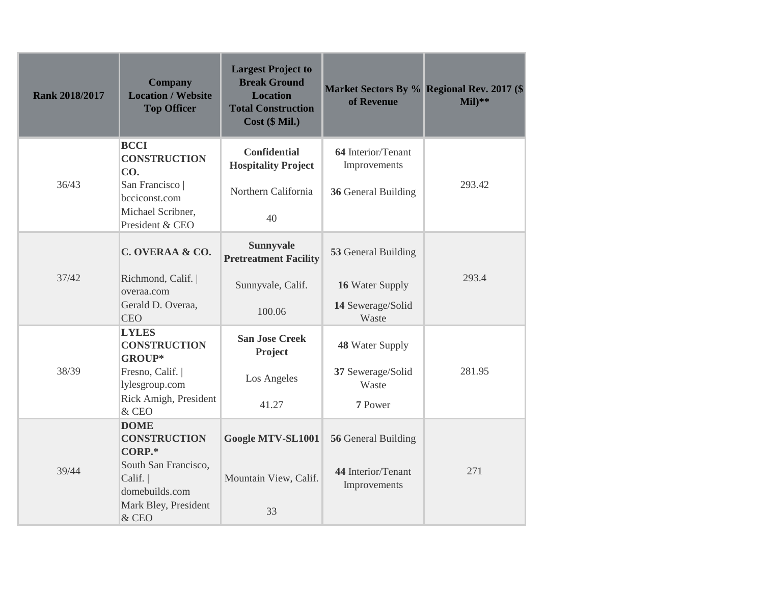| <b>Rank 2018/2017</b> | <b>Company</b><br><b>Location / Website</b><br><b>Top Officer</b> | <b>Largest Project to</b><br><b>Break Ground</b><br><b>Location</b><br><b>Total Construction</b><br>Cost (\$ Mil.) | of Revenue                         | Market Sectors By % Regional Rev. 2017 (\$<br>$Mil)**$ |
|-----------------------|-------------------------------------------------------------------|--------------------------------------------------------------------------------------------------------------------|------------------------------------|--------------------------------------------------------|
| 36/43                 | <b>BCCI</b><br><b>CONSTRUCTION</b><br>CO.<br>San Francisco        | <b>Confidential</b><br><b>Hospitality Project</b>                                                                  | 64 Interior/Tenant<br>Improvements | 293.42                                                 |
|                       | bcciconst.com<br>Michael Scribner,<br>President & CEO             | Northern California<br>40                                                                                          | 36 General Building                |                                                        |
|                       | C. OVERAA & CO.                                                   | <b>Sunnyvale</b><br><b>Pretreatment Facility</b>                                                                   | 53 General Building                |                                                        |
| 37/42                 | Richmond, Calif.<br>overaa.com                                    | Sunnyvale, Calif.                                                                                                  | 16 Water Supply                    | 293.4                                                  |
|                       | Gerald D. Overaa,<br><b>CEO</b>                                   | 100.06                                                                                                             | 14 Sewerage/Solid<br>Waste         |                                                        |
|                       | <b>LYLES</b><br><b>CONSTRUCTION</b><br>GROUP*                     | <b>San Jose Creek</b><br>Project                                                                                   | 48 Water Supply                    |                                                        |
| 38/39                 | Fresno, Calif.  <br>lylesgroup.com                                | Los Angeles                                                                                                        | 37 Sewerage/Solid<br>Waste         | 281.95                                                 |
|                       | Rick Amigh, President<br>& CEO                                    | 41.27                                                                                                              | 7 Power                            |                                                        |
|                       | <b>DOME</b><br><b>CONSTRUCTION</b><br>CORP.*                      | Google MTV-SL1001                                                                                                  | 56 General Building                |                                                        |
| 39/44                 | South San Francisco,<br>Calif.<br>domebuilds.com                  | Mountain View, Calif.                                                                                              | 44 Interior/Tenant<br>Improvements | 271                                                    |
|                       | Mark Bley, President<br>& CEO                                     | 33                                                                                                                 |                                    |                                                        |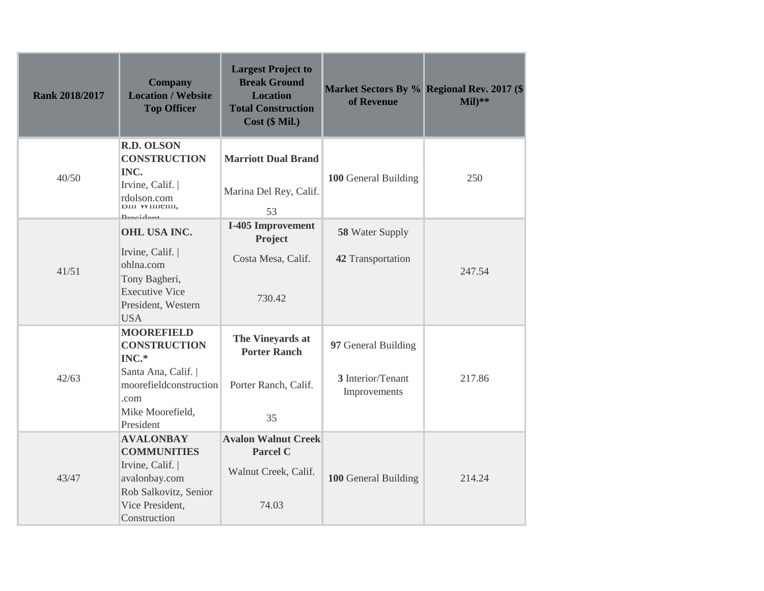| <b>Rank 2018/2017</b> | <b>Company</b><br><b>Location / Website</b><br><b>Top Officer</b>                                                                         | <b>Largest Project to</b><br><b>Break Ground</b><br><b>Location</b><br><b>Total Construction</b><br>Cost (\$ Mil.) | of Revenue                                               | Market Sectors By % Regional Rev. 2017 (\$<br>$Mil)**$ |
|-----------------------|-------------------------------------------------------------------------------------------------------------------------------------------|--------------------------------------------------------------------------------------------------------------------|----------------------------------------------------------|--------------------------------------------------------|
| 40/50                 | <b>R.D. OLSON</b><br><b>CONSTRUCTION</b><br>INC.<br>Irvine, Calif.<br>rdolson.com<br>рии <i>w</i> инени,<br>$D$ <i>manidant</i>           | <b>Marriott Dual Brand</b><br>Marina Del Rey, Calif.<br>53                                                         | 100 General Building                                     | 250                                                    |
| 41/51                 | <b>OHL USA INC.</b><br>Irvine, Calif.<br>ohlna.com<br>Tony Bagheri,<br><b>Executive Vice</b><br>President, Western<br><b>USA</b>          | I-405 Improvement<br>Project<br>Costa Mesa, Calif.<br>730.42                                                       | 58 Water Supply<br>42 Transportation                     | 247.54                                                 |
| 42/63                 | <b>MOOREFIELD</b><br><b>CONSTRUCTION</b><br>INC.*<br>Santa Ana, Calif.<br>moorefieldconstruction<br>.com<br>Mike Moorefield,<br>President | The Vineyards at<br><b>Porter Ranch</b><br>Porter Ranch, Calif.<br>35                                              | 97 General Building<br>3 Interior/Tenant<br>Improvements | 217.86                                                 |
| 43/47                 | <b>AVALONBAY</b><br><b>COMMUNITIES</b><br>Irvine, Calif.  <br>avalonbay.com<br>Rob Salkovitz, Senior<br>Vice President,<br>Construction   | <b>Avalon Walnut Creek</b><br><b>Parcel C</b><br>Walnut Creek, Calif.<br>74.03                                     | 100 General Building                                     | 214.24                                                 |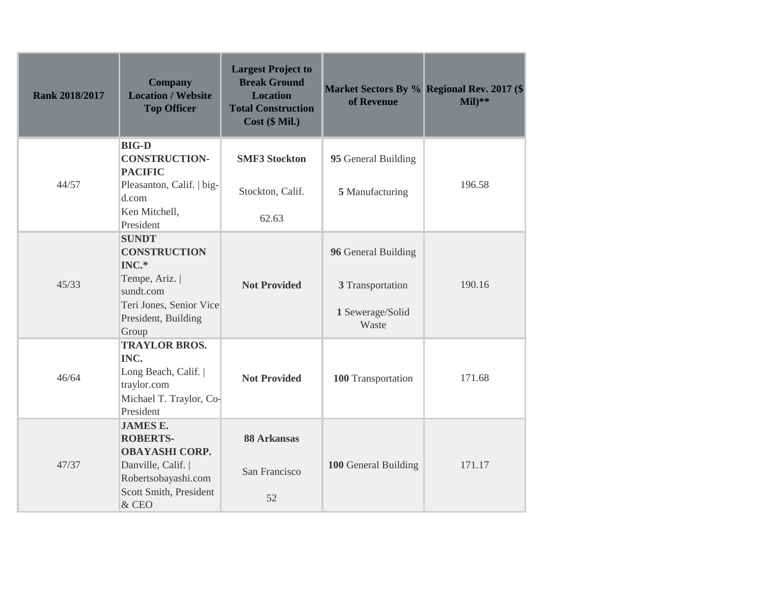| <b>Rank 2018/2017</b> | <b>Company</b><br><b>Location / Website</b><br><b>Top Officer</b>                                                                                 | <b>Largest Project to</b><br><b>Break Ground</b><br><b>Location</b><br><b>Total Construction</b><br>Cost (\$ Mil.) | of Revenue                                                           | Market Sectors By % Regional Rev. 2017 (\$<br>$Mil)**$ |
|-----------------------|---------------------------------------------------------------------------------------------------------------------------------------------------|--------------------------------------------------------------------------------------------------------------------|----------------------------------------------------------------------|--------------------------------------------------------|
| 44/57                 | <b>BIG-D</b><br><b>CONSTRUCTION-</b><br><b>PACIFIC</b><br>Pleasanton, Calif.   big-<br>d.com<br>Ken Mitchell,                                     | <b>SMF3 Stockton</b><br>Stockton, Calif.<br>62.63                                                                  | 95 General Building<br>5 Manufacturing                               | 196.58                                                 |
| 45/33                 | President<br><b>SUNDT</b><br><b>CONSTRUCTION</b><br>INC.*<br>Tempe, Ariz.<br>sundt.com<br>Teri Jones, Senior Vice<br>President, Building<br>Group | <b>Not Provided</b>                                                                                                | 96 General Building<br>3 Transportation<br>1 Sewerage/Solid<br>Waste | 190.16                                                 |
| 46/64                 | <b>TRAYLOR BROS.</b><br>INC.<br>Long Beach, Calif.  <br>traylor.com<br>Michael T. Traylor, Co-<br>President                                       | <b>Not Provided</b>                                                                                                | 100 Transportation                                                   | 171.68                                                 |
| 47/37                 | <b>JAMES E.</b><br><b>ROBERTS-</b><br><b>OBAYASHI CORP.</b><br>Danville, Calif.  <br>Robertsobayashi.com<br>Scott Smith, President<br>& CEO       | 88 Arkansas<br>San Francisco<br>52                                                                                 | 100 General Building                                                 | 171.17                                                 |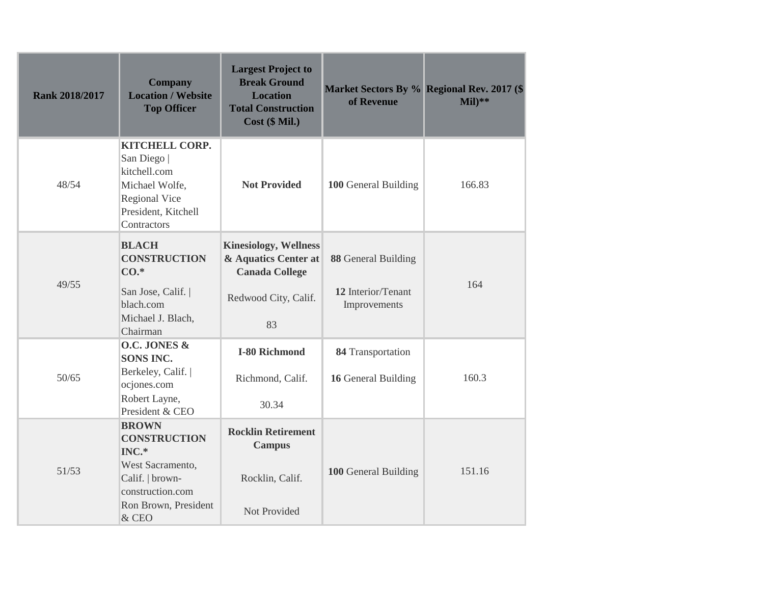| <b>Rank 2018/2017</b> | <b>Company</b><br><b>Location / Website</b><br><b>Top Officer</b>                                                                        | <b>Largest Project to</b><br><b>Break Ground</b><br><b>Location</b><br><b>Total Construction</b><br>$Cost$ ( $$ Mil.$ ) | of Revenue                                                | Market Sectors By % Regional Rev. 2017 (\$<br>$Mil)**$ |
|-----------------------|------------------------------------------------------------------------------------------------------------------------------------------|-------------------------------------------------------------------------------------------------------------------------|-----------------------------------------------------------|--------------------------------------------------------|
| 48/54                 | <b>KITCHELL CORP.</b><br>San Diego<br>kitchell.com<br>Michael Wolfe,<br>Regional Vice<br>President, Kitchell<br>Contractors              | <b>Not Provided</b>                                                                                                     | 100 General Building                                      | 166.83                                                 |
| 49/55                 | <b>BLACH</b><br><b>CONSTRUCTION</b><br>$CO.*$<br>San Jose, Calif.  <br>blach.com<br>Michael J. Blach,<br>Chairman                        | <b>Kinesiology, Wellness</b><br>& Aquatics Center at<br><b>Canada College</b><br>Redwood City, Calif.<br>83             | 88 General Building<br>12 Interior/Tenant<br>Improvements | 164                                                    |
| 50/65                 | O.C. JONES &<br><b>SONS INC.</b><br>Berkeley, Calif.  <br>ocjones.com<br>Robert Layne,<br>President & CEO                                | I-80 Richmond<br>Richmond, Calif.<br>30.34                                                                              | 84 Transportation<br>16 General Building                  | 160.3                                                  |
| 51/53                 | <b>BROWN</b><br><b>CONSTRUCTION</b><br>INC.*<br>West Sacramento,<br>Calif.   brown-<br>construction.com<br>Ron Brown, President<br>& CEO | <b>Rocklin Retirement</b><br><b>Campus</b><br>Rocklin, Calif.<br>Not Provided                                           | 100 General Building                                      | 151.16                                                 |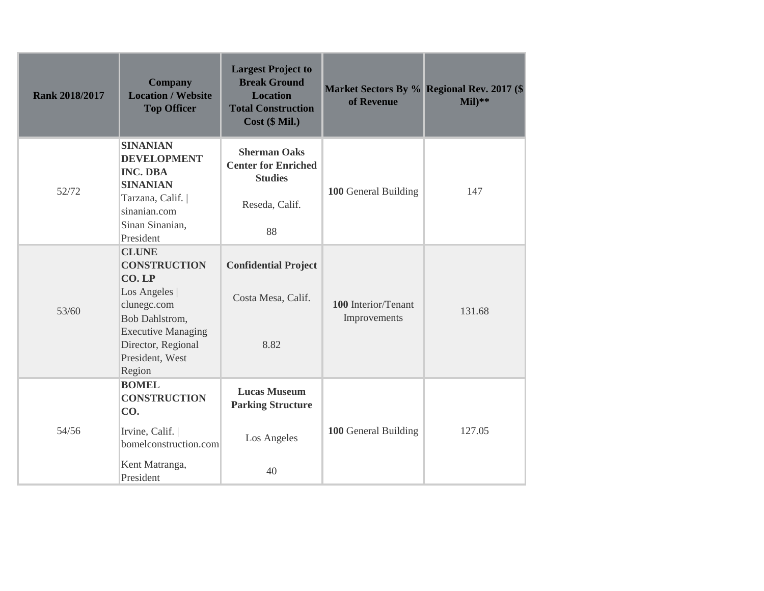| <b>Rank 2018/2017</b> | <b>Company</b><br><b>Location / Website</b><br><b>Top Officer</b>                                                                                                              | <b>Largest Project to</b><br><b>Break Ground</b><br><b>Location</b><br><b>Total Construction</b><br>Cost (\$ Mil.) | Market Sectors By % Regional Rev. 2017 (\$<br>of Revenue | $Mil)**$ |
|-----------------------|--------------------------------------------------------------------------------------------------------------------------------------------------------------------------------|--------------------------------------------------------------------------------------------------------------------|----------------------------------------------------------|----------|
| 52/72                 | <b>SINANIAN</b><br><b>DEVELOPMENT</b><br><b>INC. DBA</b><br><b>SINANIAN</b><br>Tarzana, Calif.  <br>sinanian.com<br>Sinan Sinanian,<br>President                               | <b>Sherman Oaks</b><br><b>Center for Enriched</b><br><b>Studies</b><br>Reseda, Calif.<br>88                        | 100 General Building                                     | 147      |
| 53/60                 | <b>CLUNE</b><br><b>CONSTRUCTION</b><br>CO.LP<br>Los Angeles  <br>clunegc.com<br>Bob Dahlstrom,<br><b>Executive Managing</b><br>Director, Regional<br>President, West<br>Region | <b>Confidential Project</b><br>Costa Mesa, Calif.<br>8.82                                                          | 100 Interior/Tenant<br>Improvements                      | 131.68   |
| 54/56                 | <b>BOMEL</b><br><b>CONSTRUCTION</b><br>CO.<br>Irvine, Calif.  <br>bomelconstruction.com<br>Kent Matranga,<br>President                                                         | <b>Lucas Museum</b><br><b>Parking Structure</b><br>Los Angeles<br>40                                               | 100 General Building                                     | 127.05   |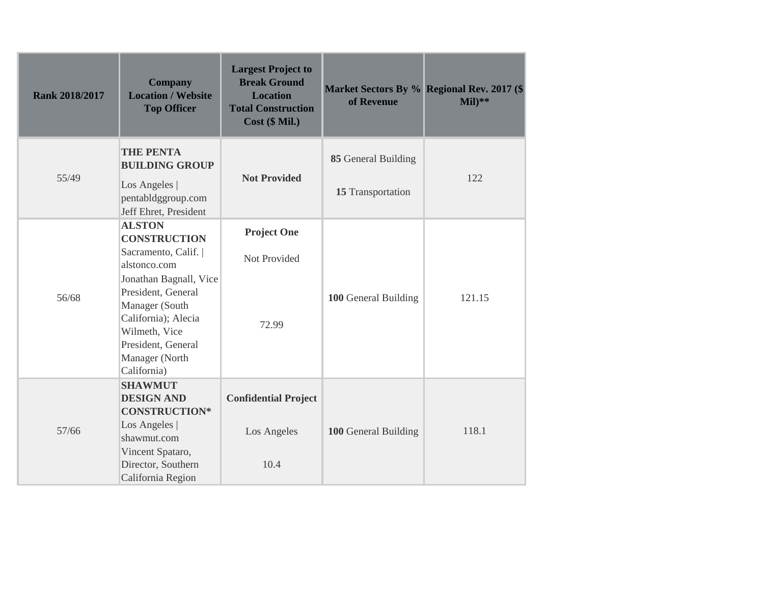| <b>Rank 2018/2017</b> | <b>Company</b><br><b>Location / Website</b><br><b>Top Officer</b>                                                                                                                                                                             | <b>Largest Project to</b><br><b>Break Ground</b><br><b>Location</b><br><b>Total Construction</b><br>Cost (\$ Mil.) | Market Sectors By % Regional Rev. 2017 (\$<br>of Revenue | $Mil)**$ |
|-----------------------|-----------------------------------------------------------------------------------------------------------------------------------------------------------------------------------------------------------------------------------------------|--------------------------------------------------------------------------------------------------------------------|----------------------------------------------------------|----------|
| 55/49                 | <b>THE PENTA</b><br><b>BUILDING GROUP</b><br>Los Angeles  <br>pentabldggroup.com<br>Jeff Ehret, President                                                                                                                                     | <b>Not Provided</b>                                                                                                | 85 General Building<br>15 Transportation                 | 122      |
| 56/68                 | <b>ALSTON</b><br><b>CONSTRUCTION</b><br>Sacramento, Calif.  <br>alstonco.com<br>Jonathan Bagnall, Vice<br>President, General<br>Manager (South<br>California); Alecia<br>Wilmeth, Vice<br>President, General<br>Manager (North<br>California) | <b>Project One</b><br>Not Provided<br>72.99                                                                        | 100 General Building                                     | 121.15   |
| 57/66                 | <b>SHAWMUT</b><br><b>DESIGN AND</b><br><b>CONSTRUCTION*</b><br>Los Angeles  <br>shawmut.com<br>Vincent Spataro,<br>Director, Southern<br>California Region                                                                                    | <b>Confidential Project</b><br>Los Angeles<br>10.4                                                                 | 100 General Building                                     | 118.1    |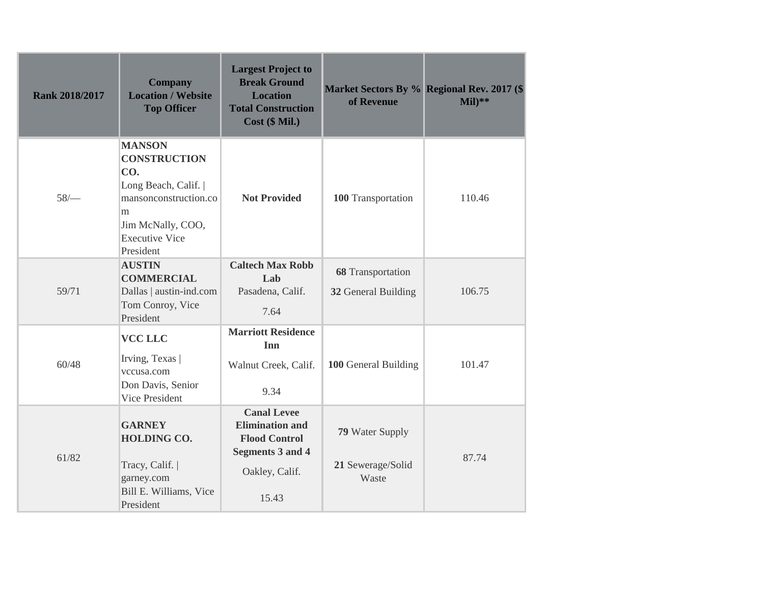| <b>Rank 2018/2017</b> | <b>Company</b><br><b>Location / Website</b><br><b>Top Officer</b>                                                                                          | <b>Largest Project to</b><br><b>Break Ground</b><br><b>Location</b><br><b>Total Construction</b><br>$Cost$ ( $$ Mil.$ )    | of Revenue                                           | Market Sectors By % Regional Rev. 2017 (\$<br>$Mil)**$ |
|-----------------------|------------------------------------------------------------------------------------------------------------------------------------------------------------|----------------------------------------------------------------------------------------------------------------------------|------------------------------------------------------|--------------------------------------------------------|
| 58/                   | <b>MANSON</b><br><b>CONSTRUCTION</b><br>CO.<br>Long Beach, Calif.<br>mansonconstruction.co<br>m<br>Jim McNally, COO,<br><b>Executive Vice</b><br>President | <b>Not Provided</b>                                                                                                        | 100 Transportation                                   | 110.46                                                 |
| 59/71                 | <b>AUSTIN</b><br><b>COMMERCIAL</b><br>Dallas   austin-ind.com<br>Tom Conroy, Vice<br>President                                                             | <b>Caltech Max Robb</b><br>Lab<br>Pasadena, Calif.<br>7.64                                                                 | 68 Transportation<br>32 General Building             | 106.75                                                 |
| 60/48                 | <b>VCC LLC</b><br>Irving, Texas<br>vccusa.com<br>Don Davis, Senior<br>Vice President                                                                       | <b>Marriott Residence</b><br>Inn<br>Walnut Creek, Calif.<br>9.34                                                           | 100 General Building                                 | 101.47                                                 |
| 61/82                 | <b>GARNEY</b><br>HOLDING CO.<br>Tracy, Calif.  <br>garney.com<br>Bill E. Williams, Vice<br>President                                                       | <b>Canal Levee</b><br><b>Elimination and</b><br><b>Flood Control</b><br><b>Segments 3 and 4</b><br>Oakley, Calif.<br>15.43 | <b>79</b> Water Supply<br>21 Sewerage/Solid<br>Waste | 87.74                                                  |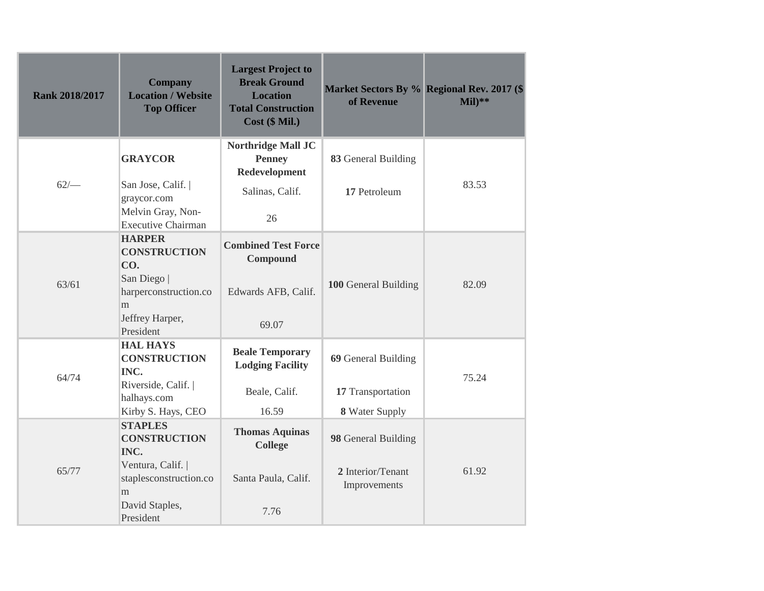| <b>Rank 2018/2017</b> | <b>Company</b><br><b>Location / Website</b><br><b>Top Officer</b> | <b>Largest Project to</b><br><b>Break Ground</b><br><b>Location</b><br><b>Total Construction</b><br>$Cost$ ( $$ Mil.$ ) | of Revenue                        | Market Sectors By % Regional Rev. 2017 (\$<br>$Mil)**$ |
|-----------------------|-------------------------------------------------------------------|-------------------------------------------------------------------------------------------------------------------------|-----------------------------------|--------------------------------------------------------|
| $62/-$                | <b>GRAYCOR</b><br>San Jose, Calif.                                | Northridge Mall JC<br><b>Penney</b><br>Redevelopment                                                                    | 83 General Building               | 83.53                                                  |
|                       | graycor.com<br>Melvin Gray, Non-<br><b>Executive Chairman</b>     | Salinas, Calif.<br>26                                                                                                   | 17 Petroleum                      |                                                        |
|                       | <b>HARPER</b><br><b>CONSTRUCTION</b><br>CO.                       | <b>Combined Test Force</b><br>Compound                                                                                  |                                   |                                                        |
| 63/61                 | San Diego<br>harperconstruction.co<br>m                           | Edwards AFB, Calif.                                                                                                     | 100 General Building              | 82.09                                                  |
|                       | Jeffrey Harper,<br>President                                      | 69.07                                                                                                                   |                                   |                                                        |
| 64/74                 | <b>HAL HAYS</b><br><b>CONSTRUCTION</b><br>INC.                    | <b>Beale Temporary</b><br><b>Lodging Facility</b>                                                                       | 69 General Building               | 75.24                                                  |
|                       | Riverside, Calif.<br>halhays.com                                  | Beale, Calif.                                                                                                           | 17 Transportation                 |                                                        |
|                       | Kirby S. Hays, CEO                                                | 16.59                                                                                                                   | 8 Water Supply                    |                                                        |
| 65/77                 | <b>STAPLES</b><br><b>CONSTRUCTION</b><br>INC.                     | <b>Thomas Aquinas</b><br><b>College</b>                                                                                 | 98 General Building               |                                                        |
|                       | Ventura, Calif.  <br>staplesconstruction.co<br>m                  | Santa Paula, Calif.                                                                                                     | 2 Interior/Tenant<br>Improvements | 61.92                                                  |
|                       | David Staples,<br>President                                       | 7.76                                                                                                                    |                                   |                                                        |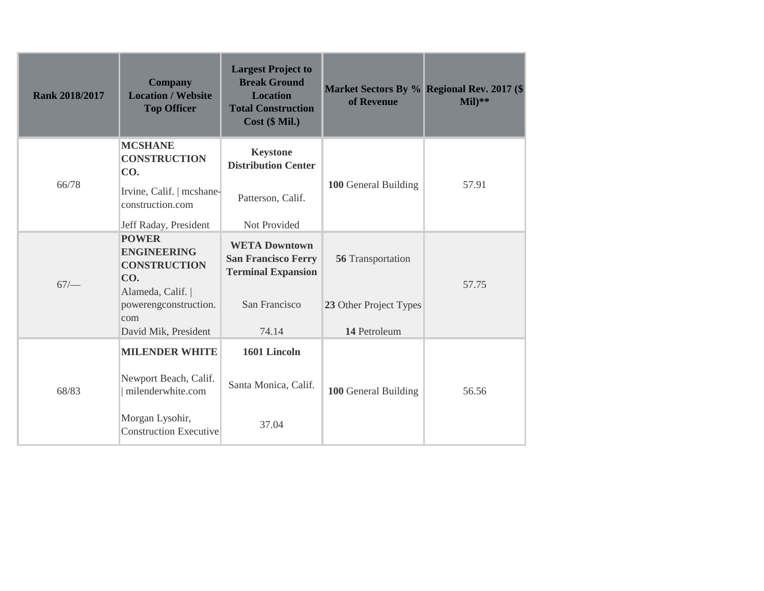| <b>Rank 2018/2017</b> | <b>Company</b><br><b>Location / Website</b><br><b>Top Officer</b>                             | <b>Largest Project to</b><br><b>Break Ground</b><br><b>Location</b><br><b>Total Construction</b><br>Cost (\$ Mil.) | of Revenue                             | Market Sectors By % Regional Rev. 2017 (\$<br>$Mil)**$ |
|-----------------------|-----------------------------------------------------------------------------------------------|--------------------------------------------------------------------------------------------------------------------|----------------------------------------|--------------------------------------------------------|
| 66/78                 | <b>MCSHANE</b><br><b>CONSTRUCTION</b><br>CO.<br>Irvine, Calif.   mcshane-<br>construction.com | <b>Keystone</b><br><b>Distribution Center</b><br>Patterson, Calif.                                                 | 100 General Building                   | 57.91                                                  |
|                       | Jeff Raday, President                                                                         | Not Provided                                                                                                       |                                        |                                                        |
| 67/                   | <b>POWER</b><br><b>ENGINEERING</b><br><b>CONSTRUCTION</b><br>CO.                              | <b>WETA Downtown</b><br><b>San Francisco Ferry</b><br><b>Terminal Expansion</b>                                    | 56 Transportation                      | 57.75                                                  |
|                       | Alameda, Calif.  <br>powerengconstruction.<br>com<br>David Mik, President                     | San Francisco<br>74.14                                                                                             | 23 Other Project Types<br>14 Petroleum |                                                        |
|                       |                                                                                               |                                                                                                                    |                                        |                                                        |
| 68/83                 | <b>MILENDER WHITE</b><br>Newport Beach, Calif.<br>milenderwhite.com                           | 1601 Lincoln<br>Santa Monica, Calif.                                                                               | 100 General Building                   | 56.56                                                  |
|                       | Morgan Lysohir,<br><b>Construction Executive</b>                                              | 37.04                                                                                                              |                                        |                                                        |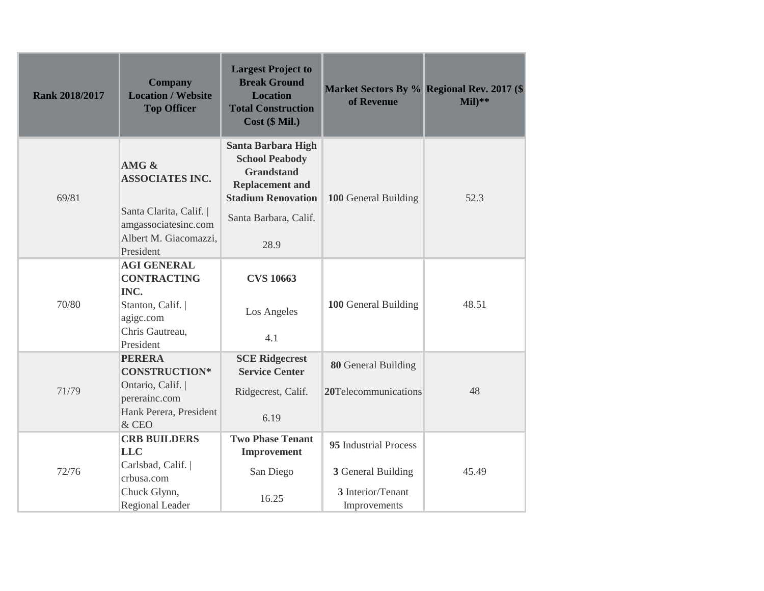| <b>Rank 2018/2017</b> | <b>Company</b><br><b>Location / Website</b><br><b>Top Officer</b>                                                  | <b>Largest Project to</b><br><b>Break Ground</b><br><b>Location</b><br><b>Total Construction</b><br>Cost (\$ Mil.)                                      | of Revenue                                                                       | Market Sectors By % Regional Rev. 2017 (\$<br>$Mil)**$ |
|-----------------------|--------------------------------------------------------------------------------------------------------------------|---------------------------------------------------------------------------------------------------------------------------------------------------------|----------------------------------------------------------------------------------|--------------------------------------------------------|
| 69/81                 | AMG &<br><b>ASSOCIATES INC.</b><br>Santa Clarita, Calif.<br>amgassociatesinc.com                                   | <b>Santa Barbara High</b><br><b>School Peabody</b><br><b>Grandstand</b><br><b>Replacement and</b><br><b>Stadium Renovation</b><br>Santa Barbara, Calif. | 100 General Building                                                             | 52.3                                                   |
|                       | Albert M. Giacomazzi,<br>President                                                                                 | 28.9                                                                                                                                                    |                                                                                  |                                                        |
| 70/80                 | <b>AGI GENERAL</b><br><b>CONTRACTING</b><br>INC.<br>Stanton, Calif.  <br>agigc.com<br>Chris Gautreau,<br>President | <b>CVS 10663</b><br>Los Angeles<br>4.1                                                                                                                  | 100 General Building                                                             | 48.51                                                  |
| 71/79                 | <b>PERERA</b><br><b>CONSTRUCTION*</b><br>Ontario, Calif.  <br>pererainc.com<br>Hank Perera, President<br>& CEO     | <b>SCE Ridgecrest</b><br><b>Service Center</b><br>Ridgecrest, Calif.<br>6.19                                                                            | 80 General Building<br>20Telecommunications                                      | 48                                                     |
| 72/76                 | <b>CRB BUILDERS</b><br><b>LLC</b><br>Carlsbad, Calif.  <br>crbusa.com<br>Chuck Glynn,<br>Regional Leader           | <b>Two Phase Tenant</b><br><b>Improvement</b><br>San Diego<br>16.25                                                                                     | 95 Industrial Process<br>3 General Building<br>3 Interior/Tenant<br>Improvements | 45.49                                                  |